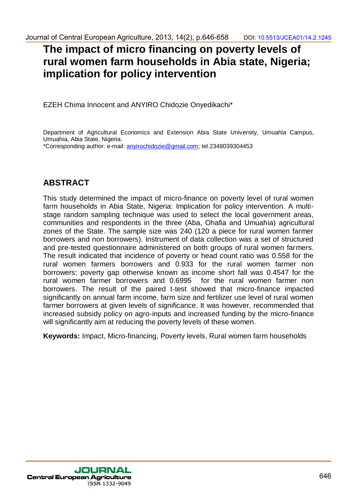# **The impact of micro financing on poverty levels of rural women farm households in Abia state, Nigeria; implication for policy intervention**

EZEH Chima Innocent and ANYIRO Chidozie Onyedikachi\*

Department of Agricultural Economics and Extension Abia State University, Umuahia Campus, Umuahia, Abia State, Nigeria.

\*Corresponding author: e-mail: anyirochidozie@gmail.com; tel.2348039304453

## **ABSTRACT**

This study determined the impact of micro-finance on poverty level of rural women farm households in Abia State, Nigeria: Implication for policy intervention. A multistage random sampling technique was used to select the local government areas, communities and respondents in the three (Aba, Ohafia and Umuahia) agricultural zones of the State. The sample size was 240 (120 a piece for rural women farmer borrowers and non borrowers). Instrument of data collection was a set of structured and pre-tested questionnaire administered on both groups of rural women farmers. The result indicated that incidence of poverty or head count ratio was 0.558 for the rural women farmers borrowers and 0.933 for the rural women farmer non borrowers; poverty gap otherwise known as income short fall was 0.4547 for the rural women farmer borrowers and 0.6995 for the rural women farmer non borrowers. The result of the paired t-test showed that micro-finance impacted significantly on annual farm income, farm size and fertilizer use level of rural women farmer borrowers at given levels of significance. It was however, recommended that increased subsidy policy on agro-inputs and increased funding by the micro-finance will significantly aim at reducing the poverty levels of these women. dournal dochrain-<br>The impact of micro financing 2013. 14(2), B845-658<br>
The impact of micro financing on poverty levels of<br>
Tural women farm households in Abia state, Nigeria;<br>
implication for policy intervention<br>
EZEH Chim dournal of Central European Agriculture, 2013, 14(2), p.646-658DOI: 163413/2022-14/14.2.1245/2022-14/14.2.1245/2022-14/14.2.1245/2022-14/14.2.1245/2022-14/15.1245/2022-14/15.1245/2022-14/15.1245/2022-14/15.1245/16.1245/16.

**Keywords:** Impact, Micro-financing, Poverty levels, Rural women farm households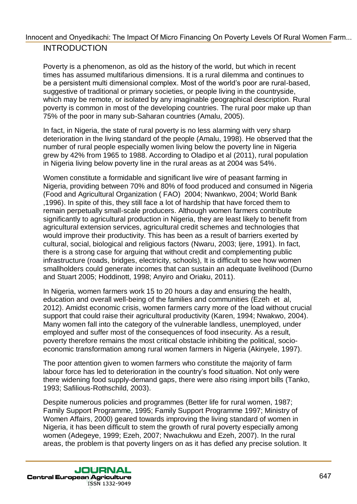Poverty is a phenomenon, as old as the history of the world, but which in recent times has assumed multifarious dimensions. It is a rural dilemma and continues to be a persistent multi dimensional complex. Most of the world"s poor are rural-based, suggestive of traditional or primary societies, or people living in the countryside, which may be remote, or isolated by any imaginable geographical description. Rural poverty is common in most of the developing countries. The rural poor make up than 75% of the poor in many sub-Saharan countries (Amalu, 2005).

In fact, in Nigeria, the state of rural poverty is no less alarming with very sharp deterioration in the living standard of the people (Amalu, 1998). He observed that the number of rural people especially women living below the poverty line in Nigeria grew by 42% from 1965 to 1988. According to Oladipo et al (2011), rural population in Nigeria living below poverty line in the rural areas as at 2004 was 54%.

Women constitute a formidable and significant live wire of peasant farming in Nigeria, providing between 70% and 80% of food produced and consumed in Nigeria (Food and Agricultural Organization ( FAO) 2004; Nwankwo, 2004; World Bank ,1996). In spite of this, they still face a lot of hardship that have forced them to remain perpetually small-scale producers. Although women farmers contribute significantly to agricultural production in Nigeria, they are least likely to benefit from agricultural extension services, agricultural credit schemes and technologies that would improve their productivity. This has been as a result of barriers exerted by cultural, social, biological and religious factors (Nwaru, 2003; Ijere, 1991). In fact, there is a strong case for arguing that without credit and complementing public infrastructure (roads, bridges, electricity, schools), It is difficult to see how women smallholders could generate incomes that can sustain an adequate livelihood (Durno and Stuart 2005; Hoddinott, 1998; Anyiro and Oriaku, 2011). Innocent and Onyestiac. The Impact Of Marc Francoin On Poverfu Levels Of Rural Women I sm.<br>
Forverty is a phonometrum, as old as the history of the world, but which in rocent<br>
the world is a phonometrum with the world but

In Nigeria, women farmers work 15 to 20 hours a day and ensuring the health, education and overall well-being of the families and communities (Ezeh et al, 2012). Amidst economic crisis, women farmers carry more of the load without crucial support that could raise their agricultural productivity (Karen, 1994; Nwakwo, 2004). Many women fall into the category of the vulnerable landless, unemployed, under employed and suffer most of the consequences of food insecurity. As a result, poverty therefore remains the most critical obstacle inhibiting the political, socioeconomic transformation among rural women farmers in Nigeria (Akinyele, 1997).

The poor attention given to women farmers who constitute the majority of farm labour force has led to deterioration in the country"s food situation. Not only were there widening food supply-demand gaps, there were also rising import bills (Tanko, 1993; Safilious-Rothschild, 2003).

Despite numerous policies and programmes (Better life for rural women, 1987; Family Support Programme, 1995; Family Support Programme 1997; Ministry of Women Affairs, 2000) geared towards improving the living standard of women in Nigeria, it has been difficult to stem the growth of rural poverty especially among women (Adegeye, 1999; Ezeh, 2007; Nwachukwu and Ezeh, 2007). In the rural areas, the problem is that poverty lingers on as it has defied any precise solution. It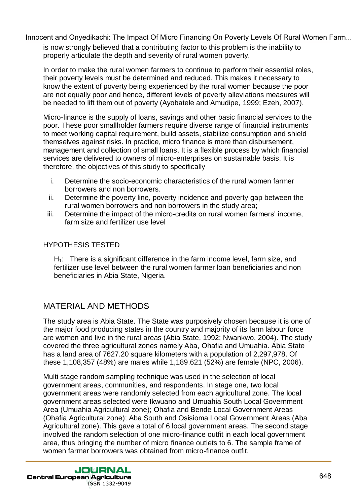is now strongly believed that a contributing factor to this problem is the inability to properly articulate the depth and severity of rural women poverty.

In order to make the rural women farmers to continue to perform their essential roles, their poverty levels must be determined and reduced. This makes it necessary to know the extent of poverty being experienced by the rural women because the poor are not equally poor and hence, different levels of poverty alleviations measures will be needed to lift them out of poverty (Ayobatele and Amudipe, 1999; Ezeh, 2007).

Micro-finance is the supply of loans, savings and other basic financial services to the poor. These poor smallholder farmers require diverse range of financial instruments to meet working capital requirement, build assets, stabilize consumption and shield themselves against risks. In practice, micro finance is more than disbursement, management and collection of small loans. It is a flexible process by which financial services are delivered to owners of micro-enterprises on sustainable basis. It is therefore, the objectives of this study to specifically

- i. Determine the socio-economic characteristics of the rural women farmer borrowers and non borrowers.
- ii. Determine the poverty line, poverty incidence and poverty gap between the rural women borrowers and non borrowers in the study area;
- iii. Determine the impact of the micro-credits on rural women farmers' income, farm size and fertilizer use level

### HYPOTHESIS TESTED

 $H_1$ : There is a significant difference in the farm income level, farm size, and fertilizer use level between the rural women farmer loan beneficiaries and non beneficiaries in Abia State, Nigeria.

### MATERIAL AND METHODS

The study area is Abia State. The State was purposively chosen because it is one of the major food producing states in the country and majority of its farm labour force are women and live in the rural areas (Abia State, 1992; Nwankwo, 2004). The study covered the three agricultural zones namely Aba, Ohafia and Umuahia. Abia State has a land area of 7627.20 square kilometers with a population of 2,297,978. Of these 1,108,357 (48%) are males while 1,189.621 (52%) are female (NPC, 2006).

Multi stage random sampling technique was used in the selection of local government areas, communities, and respondents. In stage one, two local government areas were randomly selected from each agricultural zone. The local government areas selected were Ikwuano and Umuahia South Local Government Area (Umuahia Agricultural zone); Ohafia and Bende Local Government Areas (Ohafia Agricultural zone); Aba South and Osisioma Local Government Areas (Aba Agricultural zone). This gave a total of 6 local government areas. The second stage involved the random selection of one micro-finance outfit in each local government area, thus bringing the number of micro finance outlets to 6. The sample frame of women farmer borrowers was obtained from micro-finance outfit. Innocent and Onegotialco The Impact Of Micro Lindon One Doets Leads Of Riving Women I simply believed that a contributing factor to this problem is the microlity of the microseconduction of the property and the microsecond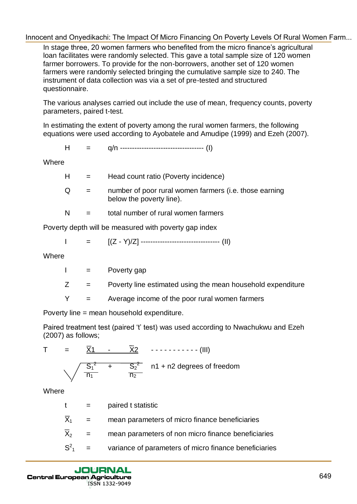In stage three, 20 women farmers who benefited from the micro finance's agricultural loan facilitates were randomly selected. This gave a total sample size of 120 women farmer borrowers. To provide for the non-borrowers, another set of 120 women farmers were randomly selected bringing the cumulative sample size to 240. The instrument of data collection was via a set of pre-tested and structured questionnaire. Incorection and Onyestiackit. The Impact Of Micro Entance of Diversity Levels Of Nuclei Viennel<br>
In stage three, 20 women framera who benefied form the micro framera signal was<br>
Name through the stage of 120 women<br>
Name i

The various analyses carried out include the use of mean, frequency counts, poverty parameters, paired t-test.

In estimating the extent of poverty among the rural women farmers, the following equations were used according to Ayobatele and Amudipe (1999) and Ezeh (2007).

$$
H = q/n
$$
 11111 (1)

**Where** 

| H. | $\mathbf{r} = \mathbf{r}$ | Head count ratio (Poverty incidence)                                               |
|----|---------------------------|------------------------------------------------------------------------------------|
| Q  | $=$                       | number of poor rural women farmers (i.e. those earning<br>below the poverty line). |

 $N =$  total number of rural women farmers

Poverty depth will be measured with poverty gap index

$$
I = [(Z - Y)/Z] \n--- \n--- \n--- \n--- \n(II)
$$

**Where** 

| Poverty gap |
|-------------|
|-------------|

 $Z =$  Poverty line estimated using the mean household expenditure

 $Y =$  Average income of the poor rural women farmers

Poverty line = mean household expenditure.

Paired treatment test (paired "t" test) was used according to Nwachukwu and Ezeh (2007) as follows;

|  |  | ۱۱ | $\overline{S_2^2}$ n1 + n2 degrees of freedom |
|--|--|----|-----------------------------------------------|

**Where** 

| $t =$               |                           | paired t statistic                                    |
|---------------------|---------------------------|-------------------------------------------------------|
| $\overline{X}_1$    | $\mathbf{r} = \mathbf{r}$ | mean parameters of micro finance beneficiaries        |
| $\overline{\chi}_2$ | $\alpha_{\rm c} = 0.000$  | mean parameters of non micro finance beneficiaries    |
|                     | $S^2_1 =$                 | variance of parameters of micro finance beneficiaries |
|                     |                           |                                                       |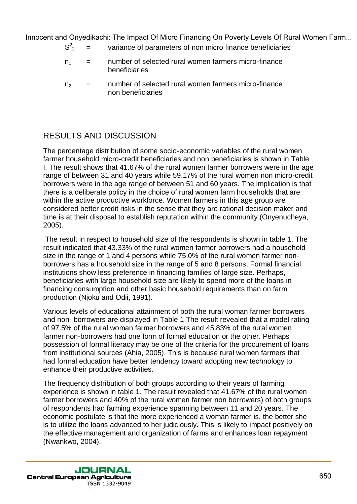| $S^2$          | $\mathbf{r} = \mathbf{r}$ | variance of parameters of non micro finance beneficiaries             |
|----------------|---------------------------|-----------------------------------------------------------------------|
| n <sub>1</sub> |                           | number of selected rural women farmers micro-finance<br>beneficiaries |
|                |                           | number of selected rural women farmers micro-finance                  |

 $n<sub>2</sub>$  = number of selected rural women farmers micro-finance non beneficiaries

# RESULTS AND DISCUSSION

The percentage distribution of some socio-economic variables of the rural women farmer household micro-credit beneficiaries and non beneficiaries is shown in Table I. The result shows that 41.67% of the rural women farmer borrowers were in the age range of between 31 and 40 years while 59.17% of the rural women non micro-credit borrowers were in the age range of between 51 and 60 years. The implication is that there is a deliberate policy in the choice of rural women farm households that are within the active productive workforce. Women farmers in this age group are considered better credit risks in the sense that they are rational decision maker and time is at their disposal to establish reputation within the community (Onyenucheya, 2005). Innocent and One of the Impact Of Micro Entance in the mean of the prior Level Of High Theorem is the transformed to the interest of the transformed to the interest of the transformed to the interest of the control of the

The result in respect to household size of the respondents is shown in table 1. The result indicated that 43.33% of the rural women farmer borrowers had a household size in the range of 1 and 4 persons while 75.0% of the rural women farmer nonborrowers has a household size in the range of 5 and 8 persons. Formal financial institutions show less preference in financing families of large size. Perhaps, beneficiaries with large household size are likely to spend more of the loans in financing consumption and other basic household requirements than on farm production (Njoku and Odii, 1991).

Various levels of educational attainment of both the rural woman farmer borrowers and non- borrowers are displayed in Table 1.The result revealed that a model rating of 97.5% of the rural woman farmer borrowers and 45.83% of the rural women farmer non-borrowers had one form of formal education or the other. Perhaps possession of formal literacy may be one of the criteria for the procurement of loans from institutional sources (Ahia, 2005). This is because rural women farmers that had formal education have better tendency toward adopting new technology to enhance their productive activities.

The frequency distribution of both groups according to their years of farming experience is shown in table 1. The result revealed that 41.67% of the rural women farmer borrowers and 40% of the rural women farmer non borrowers) of both groups of respondents had farming experience spanning between 11 and 20 years. The economic postulate is that the more experienced a woman farmer is, the better she is to utilize the loans advanced to her judiciously. This is likely to impact positively on the effective management and organization of farms and enhances loan repayment (Nwankwo, 2004).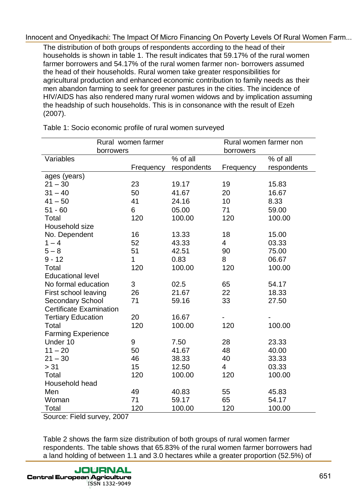|                                                         |                    |                 | the headship of such households. This is in consonance with the result of Ezeh | HIV/AIDS has also rendered many rural women widows and by implication assuming |
|---------------------------------------------------------|--------------------|-----------------|--------------------------------------------------------------------------------|--------------------------------------------------------------------------------|
| Table 1: Socio economic profile of rural women surveyed |                    |                 |                                                                                |                                                                                |
|                                                         | Rural women farmer |                 |                                                                                | Rural women farmer non                                                         |
| borrowers                                               |                    |                 | borrowers                                                                      |                                                                                |
| Variables                                               |                    | % of all        |                                                                                | % of all                                                                       |
| ages (years)                                            | Frequency          | respondents     | Frequency                                                                      | respondents                                                                    |
| $21 - 30$                                               | 23                 | 19.17           | 19                                                                             | 15.83                                                                          |
| $31 - 40$                                               | 50                 | 41.67           | 20                                                                             | 16.67                                                                          |
| $41 - 50$                                               | 41                 | 24.16           | 10                                                                             | 8.33                                                                           |
| $51 - 60$                                               | 6                  | 05.00           | 71                                                                             | 59.00                                                                          |
| Total                                                   | 120                | 100.00          | 120                                                                            | 100.00                                                                         |
| Household size                                          |                    |                 |                                                                                |                                                                                |
| No. Dependent                                           | 16                 | 13.33           | 18                                                                             | 15.00                                                                          |
| $1 - 4$                                                 | 52                 | 43.33           | 4                                                                              | 03.33                                                                          |
| $5 - 8$                                                 | 51                 | 42.51           | 90                                                                             | 75.00                                                                          |
| $9 - 12$                                                | 1                  | 0.83            | 8                                                                              | 06.67                                                                          |
| Total                                                   | 120                | 100.00          | 120                                                                            | 100.00                                                                         |
| <b>Educational level</b>                                |                    |                 |                                                                                |                                                                                |
| No formal education                                     | 3                  | 02.5            | 65                                                                             | 54.17                                                                          |
| First school leaving                                    | 26                 | 21.67           | 22                                                                             | 18.33                                                                          |
| <b>Secondary School</b>                                 | 71                 | 59.16           | 33                                                                             | 27.50                                                                          |
| <b>Certificate Examination</b>                          |                    |                 |                                                                                |                                                                                |
| <b>Tertiary Education</b>                               | 20                 | 16.67           |                                                                                |                                                                                |
| Total                                                   | 120                | 100.00          | 120                                                                            | 100.00                                                                         |
| <b>Farming Experience</b>                               |                    |                 |                                                                                |                                                                                |
| Under 10                                                | 9                  | 7.50            | 28                                                                             | 23.33                                                                          |
| $11 - 20$                                               | 50                 | 41.67           | 48                                                                             | 40.00                                                                          |
| $21 - 30$<br>> 31                                       | 46<br>15           | 38.33           | 40<br>4                                                                        | 33.33                                                                          |
| Total                                                   | 120                | 12.50<br>100.00 | 120                                                                            | 03.33<br>100.00                                                                |
| Household head                                          |                    |                 |                                                                                |                                                                                |
| Men                                                     | 49                 | 40.83           | 55                                                                             | 45.83                                                                          |
| Woman                                                   | 71                 | 59.17           | 65                                                                             | 54.17                                                                          |
| Total                                                   | 120                | 100.00          | 120                                                                            | 100.00                                                                         |
| Source: Field survey, 2007                              |                    |                 |                                                                                |                                                                                |
|                                                         |                    |                 |                                                                                |                                                                                |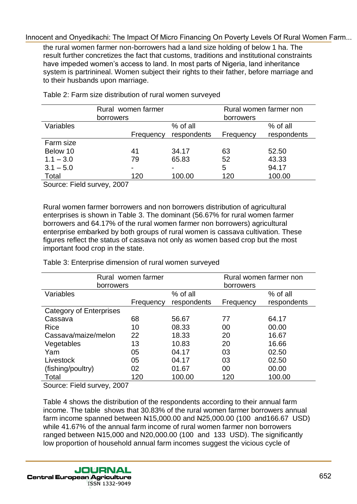the rural women farmer non-borrowers had a land size holding of below 1 ha. The result further concretizes the fact that customs, traditions and institutional constraints have impeded women's access to land. In most parts of Nigeria, land inheritance system is partrinineal. Women subject their rights to their father, before marriage and to their husbands upon marriage.

|                  | Rural women farmer<br>borrowers |             | Rural women farmer non<br>borrowers |             |
|------------------|---------------------------------|-------------|-------------------------------------|-------------|
| <b>Variables</b> |                                 | % of all    |                                     | $%$ of all  |
|                  | Frequency                       | respondents | Frequency                           | respondents |
| Farm size        |                                 |             |                                     |             |
| Below 10         | 41                              | 34.17       | 63                                  | 52.50       |
| $1.1 - 3.0$      | 79                              | 65.83       | 52                                  | 43.33       |
| $3.1 - 5.0$      | $\blacksquare$                  |             | 5                                   | 94.17       |
| Total            | 120                             | 100.00      | 120                                 | 100.00      |

Table 2: Farm size distribution of rural women surveyed

Source: Field survey, 2007

Rural women farmer borrowers and non borrowers distribution of agricultural enterprises is shown in Table 3. The dominant (56.67% for rural women farmer borrowers and 64.17% of the rural women farmer non borrowers) agricultural enterprise embarked by both groups of rural women is cassava cultivation. These figures reflect the status of cassava not only as women based crop but the most important food crop in the state.

 Rural women farmer borrowers Rural women farmer non borrowers Variables **Frequency** % of all respondents Frequency % of all respondents Category of Enterprises Cassava 68 56.67 77 64.17 Rice 10 08.33 00 00.00 Cassava/maize/melon 22 18.33 20 16.67 Vegetables 13 10.83 20 16.66 Yam 05 04.17 03 02.50 Livestock 05 04.17 03 02.50 (fishing/poultry) 02 01.67 00 00.00 Total 120 100.00 120 100.00 Inhorent and One of the Impact Of Maria Temperation and Chrometical Christmatics and Christmatics relations and Christmatics relations and the transformations of the transformation of the Impact Of Temperations of the Chri

Table 3: Enterprise dimension of rural women surveyed

Source: Field survey, 2007

Table 4 shows the distribution of the respondents according to their annual farm income. The table shows that 30.83% of the rural women farmer borrowers annual farm income spanned between N15,000.00 and N25,000.00 (100 and166.67 USD) while 41.67% of the annual farm income of rural women farmer non borrowers ranged between N15,000 and N20,000.00 (100 and 133 USD). The significantly low proportion of household annual farm incomes suggest the vicious cycle of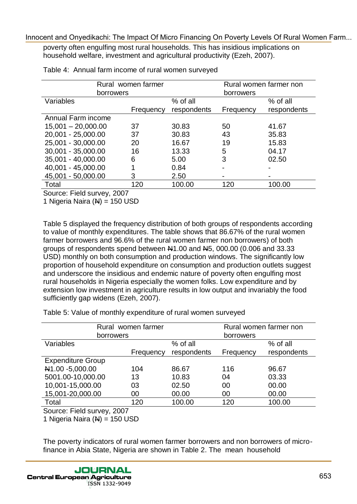| borrowers<br>Frequency                |                                                               |                                |                                                                                                                                                                                                                                                                                                                                                                                                                                                                                                                                                                                                                                                                                                                                                                                                 |
|---------------------------------------|---------------------------------------------------------------|--------------------------------|-------------------------------------------------------------------------------------------------------------------------------------------------------------------------------------------------------------------------------------------------------------------------------------------------------------------------------------------------------------------------------------------------------------------------------------------------------------------------------------------------------------------------------------------------------------------------------------------------------------------------------------------------------------------------------------------------------------------------------------------------------------------------------------------------|
|                                       | % of all                                                      | borrowers                      | % of all                                                                                                                                                                                                                                                                                                                                                                                                                                                                                                                                                                                                                                                                                                                                                                                        |
|                                       | respondents                                                   | Frequency                      | respondents                                                                                                                                                                                                                                                                                                                                                                                                                                                                                                                                                                                                                                                                                                                                                                                     |
|                                       |                                                               |                                |                                                                                                                                                                                                                                                                                                                                                                                                                                                                                                                                                                                                                                                                                                                                                                                                 |
| 37                                    | 30.83                                                         | 50                             | 41.67                                                                                                                                                                                                                                                                                                                                                                                                                                                                                                                                                                                                                                                                                                                                                                                           |
| 37                                    | 30.83                                                         | 43                             | 35.83                                                                                                                                                                                                                                                                                                                                                                                                                                                                                                                                                                                                                                                                                                                                                                                           |
| 20                                    | 16.67                                                         | 19                             | 15.83                                                                                                                                                                                                                                                                                                                                                                                                                                                                                                                                                                                                                                                                                                                                                                                           |
| 16                                    | 13.33                                                         | 5                              | 04.17                                                                                                                                                                                                                                                                                                                                                                                                                                                                                                                                                                                                                                                                                                                                                                                           |
|                                       |                                                               |                                | 02.50                                                                                                                                                                                                                                                                                                                                                                                                                                                                                                                                                                                                                                                                                                                                                                                           |
|                                       |                                                               |                                |                                                                                                                                                                                                                                                                                                                                                                                                                                                                                                                                                                                                                                                                                                                                                                                                 |
|                                       |                                                               |                                |                                                                                                                                                                                                                                                                                                                                                                                                                                                                                                                                                                                                                                                                                                                                                                                                 |
|                                       |                                                               |                                | 100.00                                                                                                                                                                                                                                                                                                                                                                                                                                                                                                                                                                                                                                                                                                                                                                                          |
|                                       |                                                               |                                |                                                                                                                                                                                                                                                                                                                                                                                                                                                                                                                                                                                                                                                                                                                                                                                                 |
| 1 Nigeria Naira $(N) = 150$ USD       |                                                               |                                |                                                                                                                                                                                                                                                                                                                                                                                                                                                                                                                                                                                                                                                                                                                                                                                                 |
| sufficiently gap widens (Ezeh, 2007). |                                                               |                                |                                                                                                                                                                                                                                                                                                                                                                                                                                                                                                                                                                                                                                                                                                                                                                                                 |
|                                       | Table 5: Value of monthly expenditure of rural women surveyed |                                |                                                                                                                                                                                                                                                                                                                                                                                                                                                                                                                                                                                                                                                                                                                                                                                                 |
| Rural women farmer<br>borrowers       |                                                               | borrowers                      | Rural women farmer non                                                                                                                                                                                                                                                                                                                                                                                                                                                                                                                                                                                                                                                                                                                                                                          |
|                                       | % of all                                                      |                                | % of all                                                                                                                                                                                                                                                                                                                                                                                                                                                                                                                                                                                                                                                                                                                                                                                        |
| Frequency                             | respondents                                                   | Frequency                      | respondents                                                                                                                                                                                                                                                                                                                                                                                                                                                                                                                                                                                                                                                                                                                                                                                     |
|                                       |                                                               |                                |                                                                                                                                                                                                                                                                                                                                                                                                                                                                                                                                                                                                                                                                                                                                                                                                 |
| 104                                   | 86.67                                                         | 116                            | 96.67                                                                                                                                                                                                                                                                                                                                                                                                                                                                                                                                                                                                                                                                                                                                                                                           |
| 13                                    | 10.83                                                         | 04                             | 03.33                                                                                                                                                                                                                                                                                                                                                                                                                                                                                                                                                                                                                                                                                                                                                                                           |
| 03                                    | 02.50                                                         | 00                             | 00.00                                                                                                                                                                                                                                                                                                                                                                                                                                                                                                                                                                                                                                                                                                                                                                                           |
| 00                                    | 00.00                                                         | 00                             | 00.00                                                                                                                                                                                                                                                                                                                                                                                                                                                                                                                                                                                                                                                                                                                                                                                           |
| 120                                   | 100.00                                                        | 120                            | 100.00                                                                                                                                                                                                                                                                                                                                                                                                                                                                                                                                                                                                                                                                                                                                                                                          |
|                                       | 6<br>3<br>120<br>Source: Field survey, 2007                   | 5.00<br>0.84<br>2.50<br>100.00 | 3<br>120<br>Table 5 displayed the frequency distribution of both groups of respondents according<br>to value of monthly expenditures. The table shows that 86.67% of the rural women<br>farmer borrowers and 96.6% of the rural women farmer non borrowers) of both<br>groups of respondents spend between $\mu$ 1.00 and $\mu$ 5, 000.00 (0.006 and 33.33<br>USD) monthly on both consumption and production windows. The significantly low<br>proportion of household expenditure on consumption and production outlets suggest<br>and underscore the insidious and endemic nature of poverty often engulfing most<br>rural households in Nigeria especially the women folks. Low expenditure and by<br>extension low investment in agriculture results in low output and invariably the food |

|                            | Rural women farmer |             | Rural women farmer non |             |  |
|----------------------------|--------------------|-------------|------------------------|-------------|--|
| borrowers                  |                    |             | borrowers              |             |  |
| <b>Variables</b>           |                    | % of all    |                        | $%$ of all  |  |
|                            | Frequency          | respondents | Frequency              | respondents |  |
| <b>Expenditure Group</b>   |                    |             |                        |             |  |
| N1.00-5,000.00             | 104                | 86.67       | 116                    | 96.67       |  |
| 5001.00-10,000.00          | 13                 | 10.83       | 04                     | 03.33       |  |
| 10,001-15,000.00           | 03                 | 02.50       | 00                     | 00.00       |  |
| 15,001-20,000.00           | 00                 | 00.00       | 00                     | 00.00       |  |
| Total                      | 120                | 100.00      | 120                    | 100.00      |  |
| Source: Field survey, 2007 |                    |             |                        |             |  |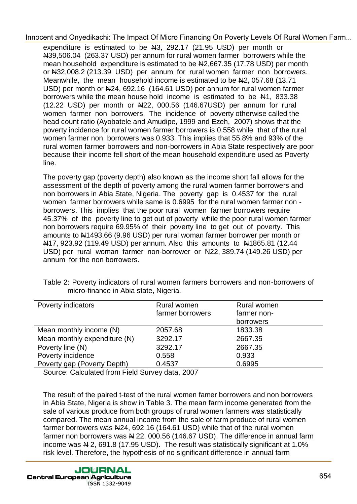expenditure is estimated to be N3, 292.17 (21.95 USD) per month or N39,506.04 (263.37 USD) per annum for rural women farmer borrowers while the mean household expenditure is estimated to be N2,667.35 (17.78 USD) per month or  $\text{H}32,008.2$  (213.39 USD) per annum for rural women farmer non borrowers. Meanwhile, the mean household income is estimated to be  $\frac{1}{2}$ , 057.68 (13.71) USD) per month or N24, 692.16 (164.61 USD) per annum for rural women farmer borrowers while the mean house hold income is estimated to be N1, 833.38 (12.22 USD) per month or N22, 000.56 (146.67USD) per annum for rural women farmer non borrowers. The incidence of poverty otherwise called the head count ratio (Ayobatele and Amudipe, 1999 and Ezeh, 2007) shows that the poverty incidence for rural women farmer borrowers is 0.558 while that of the rural women farmer non borrowers was 0.933. This implies that 55.8% and 93% of the rural women farmer borrowers and non-borrowers in Abia State respectively are poor because their income fell short of the mean household expenditure used as Poverty line. Innocent and Onyestiacht The Impact Of Mato Timannay On Power Levels Of Rivial Vienne 1 sm.<br>
N30.503.4 (263.5 USD) per amum for unal women from the view of the CHO MATO CONFIDENTIAL (1993) and the CHO MATO CONFIDENTIAL MSD

The poverty gap (poverty depth) also known as the income short fall allows for the assessment of the depth of poverty among the rural women farmer borrowers and non borrowers in Abia State, Nigeria. The poverty gap is 0.4537 for the rural women farmer borrowers while same is 0.6995 for the rural women farmer non borrowers. This implies that the poor rural women farmer borrowers require 45.37% of the poverty line to get out of poverty while the poor rural women farmer non borrowers require 69.95% of their poverty line to get out of poverty. This amounts to N1493.66 (9.96 USD) per rural woman farmer borrower per month or N17, 923.92 (119.49 USD) per annum. Also this amounts to N1865.81 (12.44 USD) per rural woman farmer non-borrower or  $\frac{122}{1389.74}$  (149.26 USD) per annum for the non borrowers.

| Poverty indicators           | Rural women      | Rural women |
|------------------------------|------------------|-------------|
|                              | farmer borrowers | farmer non- |
|                              |                  | borrowers   |
| Mean monthly income (N)      | 2057.68          | 1833.38     |
| Mean monthly expenditure (N) | 3292.17          | 2667.35     |
| Poverty line (N)             | 3292.17          | 2667.35     |
| Poverty incidence            | 0.558            | 0.933       |
| Poverty gap (Poverty Depth)  | 0.4537           | 0.6995      |
|                              | .                |             |

Table 2: Poverty indicators of rural women farmers borrowers and non-borrowers of micro-finance in Abia state, Nigeria.

Source: Calculated from Field Survey data, 2007

The result of the paired t-test of the rural women famer borrowers and non borrowers in Abia State, Nigeria is show in Table 3. The mean farm income generated from the sale of various produce from both groups of rural women farmers was statistically compared. The mean annual income from the sale of farm produce of rural women farmer borrowers was N24, 692.16 (164.61 USD) while that of the rural women farmer non borrowers was  $\overline{N}$  22, 000.56 (146.67 USD). The difference in annual farm income was  $\overline{N}$  2, 691.8 (17.95 USD). The result was statistically significant at 1.0% risk level. Therefore, the hypothesis of no significant difference in annual farm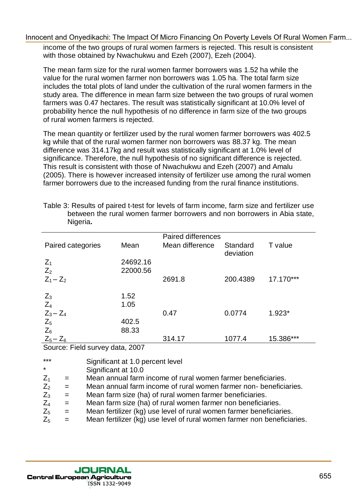| Innocent and Onyedikachi: The Impact Of Micro Financing On Poverty Levels Of Rural Women Farm<br>income of the two groups of rural women farmers is rejected. This result is consistent<br>with those obtained by Nwachukwu and Ezeh (2007), Ezeh (2004).                                                                                                                                                                                                                                                                                                                                                                                                                                                               |                                                         |                                                                                                                                                                                                                                                              |                       |           |  |
|-------------------------------------------------------------------------------------------------------------------------------------------------------------------------------------------------------------------------------------------------------------------------------------------------------------------------------------------------------------------------------------------------------------------------------------------------------------------------------------------------------------------------------------------------------------------------------------------------------------------------------------------------------------------------------------------------------------------------|---------------------------------------------------------|--------------------------------------------------------------------------------------------------------------------------------------------------------------------------------------------------------------------------------------------------------------|-----------------------|-----------|--|
| The mean farm size for the rural women farmer borrowers was 1.52 ha while the<br>value for the rural women farmer non borrowers was 1.05 ha. The total farm size<br>includes the total plots of land under the cultivation of the rural women farmers in the<br>study area. The difference in mean farm size between the two groups of rural women<br>farmers was 0.47 hectares. The result was statistically significant at 10.0% level of<br>probability hence the null hypothesis of no difference in farm size of the two groups<br>of rural women farmers is rejected.                                                                                                                                             |                                                         |                                                                                                                                                                                                                                                              |                       |           |  |
| The mean quantity or fertilizer used by the rural women farmer borrowers was 402.5<br>kg while that of the rural women farmer non borrowers was 88.37 kg. The mean<br>difference was 314.17kg and result was statistically significant at 1.0% level of<br>significance. Therefore, the null hypothesis of no significant difference is rejected.<br>This result is consistent with those of Nwachukwu and Ezeh (2007) and Amalu<br>(2005). There is however increased intensity of fertilizer use among the rural women<br>farmer borrowers due to the increased funding from the rural finance institutions.<br>Table 3: Results of paired t-test for levels of farm income, farm size and fertilizer use<br>Nigeria. |                                                         | between the rural women farmer borrowers and non borrowers in Abia state,                                                                                                                                                                                    |                       |           |  |
|                                                                                                                                                                                                                                                                                                                                                                                                                                                                                                                                                                                                                                                                                                                         |                                                         | <b>Paired differences</b>                                                                                                                                                                                                                                    |                       |           |  |
| Paired categories                                                                                                                                                                                                                                                                                                                                                                                                                                                                                                                                                                                                                                                                                                       | Mean                                                    | Mean difference                                                                                                                                                                                                                                              | Standard<br>deviation | T value   |  |
| $Z_1$<br>$Z_2$                                                                                                                                                                                                                                                                                                                                                                                                                                                                                                                                                                                                                                                                                                          | 24692.16<br>22000.56                                    |                                                                                                                                                                                                                                                              |                       |           |  |
| $Z_1 - Z_2$                                                                                                                                                                                                                                                                                                                                                                                                                                                                                                                                                                                                                                                                                                             |                                                         | 2691.8                                                                                                                                                                                                                                                       | 200.4389              | 17.170*** |  |
| $Z_3$<br>$Z_4$<br>$Z_3 - Z_4$<br>$Z_5$                                                                                                                                                                                                                                                                                                                                                                                                                                                                                                                                                                                                                                                                                  | 1.52<br>1.05<br>402.5                                   | 0.47                                                                                                                                                                                                                                                         | 0.0774                | $1.923*$  |  |
| $Z_6$                                                                                                                                                                                                                                                                                                                                                                                                                                                                                                                                                                                                                                                                                                                   | 88.33                                                   |                                                                                                                                                                                                                                                              | 1077.4                | 15.386*** |  |
| $Z_5 - Z_6$<br>Source: Field survey data, 2007                                                                                                                                                                                                                                                                                                                                                                                                                                                                                                                                                                                                                                                                          |                                                         | 314.17                                                                                                                                                                                                                                                       |                       |           |  |
| $***$<br>*<br>$Z_1$<br>$=$<br>$Z_2$<br>$=$<br>$Z_3$<br>$=$<br>$Z_4$<br>$=$                                                                                                                                                                                                                                                                                                                                                                                                                                                                                                                                                                                                                                              | Significant at 1.0 percent level<br>Significant at 10.0 | Mean annual farm income of rural women farmer beneficiaries.<br>Mean annual farm income of rural women farmer non-beneficiaries.<br>Mean farm size (ha) of rural women farmer beneficiaries.<br>Mean farm size (ha) of rural women farmer non beneficiaries. |                       |           |  |
| $Z_5$<br>$=$<br>$Z_5$<br>$=$                                                                                                                                                                                                                                                                                                                                                                                                                                                                                                                                                                                                                                                                                            |                                                         | Mean fertilizer (kg) use level of rural women farmer beneficiaries.<br>Mean fertilizer (kg) use level of rural women farmer non beneficiaries.                                                                                                               |                       |           |  |

| $***$   |                           | Significant at 1.0 percent level                                        |
|---------|---------------------------|-------------------------------------------------------------------------|
| $\star$ |                           | Significant at 10.0                                                     |
| $Z_1$   | $\mathbf{r} = \mathbf{r}$ | Mean annual farm income of rural women farmer beneficiaries.            |
| $Z_{2}$ | $\alpha = \alpha$         | Mean annual farm income of rural women farmer non-beneficiaries.        |
| $Z_3$   | $\alpha = 0$              | Mean farm size (ha) of rural women farmer beneficiaries.                |
| $Z_4$   | $=$                       | Mean farm size (ha) of rural women farmer non beneficiaries.            |
| $Z_5$   | $\alpha = 1$              | Mean fertilizer (kg) use level of rural women farmer beneficiaries.     |
| $Z_{5}$ | $\mathbf{r} = \mathbf{r}$ | Mean fertilizer (kg) use level of rural women farmer non beneficiaries. |
|         |                           |                                                                         |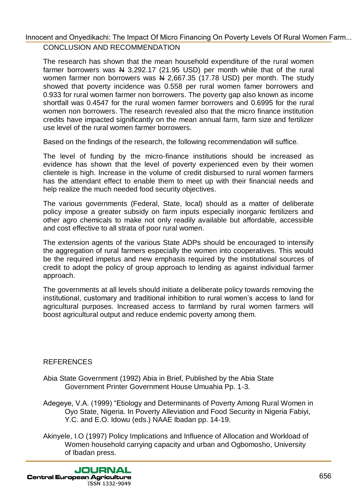### CONCLUSION AND RECOMMENDATION [Innocent and Onyedikachi: The Impact Of Micro Financing On Poverty Levels Of Rural Women Farm...](http://jcea.agr.hr/volumes.php?search=Article%3A1245)

The research has shown that the mean household expenditure of the rural women farmer borrowers was  $\frac{1}{2}$  3,292.17 (21.95 USD) per month while that of the rural women farmer non borrowers was  $\frac{N}{2,667.35}$  (17.78 USD) per month. The study showed that poverty incidence was 0.558 per rural women famer borrowers and 0.933 for rural women farmer non borrowers. The poverty gap also known as income shortfall was 0.4547 for the rural women farmer borrowers and 0.6995 for the rural women non borrowers. The research revealed also that the micro finance institution credits have impacted significantly on the mean annual farm, farm size and fertilizer use level of the rural women farmer borrowers. Innocent and Onyestiackin The Impact Of Mato Entary Book the state of the train of the measurable and the measurable and the measurable and the train is above that the measurable and the measurable and the measurable and t

Based on the findings of the research, the following recommendation will suffice.

The level of funding by the micro-finance institutions should be increased as evidence has shown that the level of poverty experienced even by their women clientele is high. Increase in the volume of credit disbursed to rural women farmers has the attendant effect to enable them to meet up with their financial needs and help realize the much needed food security objectives.

The various governments (Federal, State, local) should as a matter of deliberate policy impose a greater subsidy on farm inputs especially inorganic fertilizers and other agro chemicals to make not only readily available but affordable, accessible and cost effective to all strata of poor rural women.

The extension agents of the various State ADPs should be encouraged to intensify the aggregation of rural farmers especially the women into cooperatives. This would be the required impetus and new emphasis required by the institutional sources of credit to adopt the policy of group approach to lending as against individual farmer approach.

The governments at all levels should initiate a deliberate policy towards removing the institutional, customary and traditional inhibition to rural women"s access to land for agricultural purposes. Increased access to farmland by rural women farmers will boost agricultural output and reduce endemic poverty among them.

### **REFERENCES**

- Abia State Government (1992) Abia in Brief, Published by the Abia State Government Printer Government House Umuahia Pp. 1-3.
- Adegeye, V.A. (1999) "Etiology and Determinants of Poverty Among Rural Women in Oyo State, Nigeria. In Poverty Alleviation and Food Security in Nigeria Fabiyi, Y.C. and E.O. Idowu (eds.) NAAE Ibadan pp. 14-19.
- Akinyele, I.O (1997) Policy Implications and Influence of Allocation and Workload of Women household carrying capacity and urban and Ogbomosho, University of Ibadan press.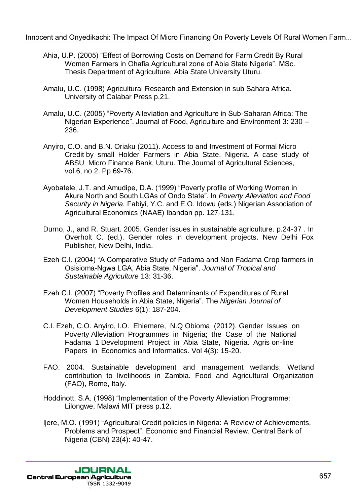- Ahia, U.P. (2005) "Effect of Borrowing Costs on Demand for Farm Credit By Rural Women Farmers in Ohafia Agricultural zone of Abia State Nigeria". MSc. Thesis Department of Agriculture, Abia State University Uturu.
- Amalu, U.C. (1998) Agricultural Research and Extension in sub Sahara Africa. University of Calabar Press p.21.
- Amalu, U.C. (2005) "Poverty Alleviation and Agriculture in Sub-Saharan Africa: The Nigerian Experience". Journal of Food, Agriculture and Environment 3: 230 – 236.
- Anyiro, C.O. and B.N. Oriaku (2011). Access to and Investment of Formal Micro Credit by small Holder Farmers in Abia State, Nigeria. A case study of ABSU Micro Finance Bank, Uturu. The Journal of Agricultural Sciences, vol.6, no 2. Pp 69-76.
- Ayobatele, J.T. and Amudipe, D.A. (1999) "Poverty profile of Working Women in Akure North and South LGAs of Ondo State". In *Poverty Alleviation and Food Security in Nigeria.* Fabiyi, Y.C. and E.O. Idowu (eds.) Nigerian Association of Agricultural Economics (NAAE) Ibandan pp. 127-131. Innocent and Onyestiacht: The Impact Of Micro Entango Of Doverty Levelson City (19705) [1962] (1962) [1962] [1962] [1962] [1962] [1978] [1978] [1978] [1978] [1978] [1978] [1978] [1978] [1978] [1978] [1978] [1978] [1978] [
	- Durno, J., and R. Stuart. 2005. Gender issues in sustainable agriculture. p.24-37 . In Overholt C. (ed.). Gender roles in development projects. New Delhi Fox Publisher, New Delhi, India.
	- Ezeh C.I. (2004) "A Comparative Study of Fadama and Non Fadama Crop farmers in Osisioma-Ngwa LGA, Abia State, Nigeria". *Journal of Tropical and Sustainable Agriculture* 13: 31-36.
	- Ezeh C.I. (2007) "Poverty Profiles and Determinants of Expenditures of Rural Women Households in Abia State, Nigeria". The *Nigerian Journal of Development Studies* 6(1): 187-204.
	- C.I. Ezeh, C.O. Anyiro, I.O. Ehiemere, N.Q Obioma (2012). Gender Issues on Poverty Alleviation Programmes in Nigeria; the Case of the National Fadama 1 Development Project in Abia State, Nigeria. Agris on-line Papers in Economics and Informatics. Vol 4(3): 15-20.
	- FAO. 2004. Sustainable development and management wetlands; Wetland contribution to livelihoods in Zambia. Food and Agricultural Organization (FAO), Rome, Italy.
	- Hoddinott, S.A. (1998) "Implementation of the Poverty Alleviation Programme: Lilongwe, Malawi MIT press p.12.
	- Ijere, M.O. (1991) "Agricultural Credit policies in Nigeria: A Review of Achievements, Problems and Prospect". Economic and Financial Review. Central Bank of Nigeria (CBN) 23(4): 40-47.